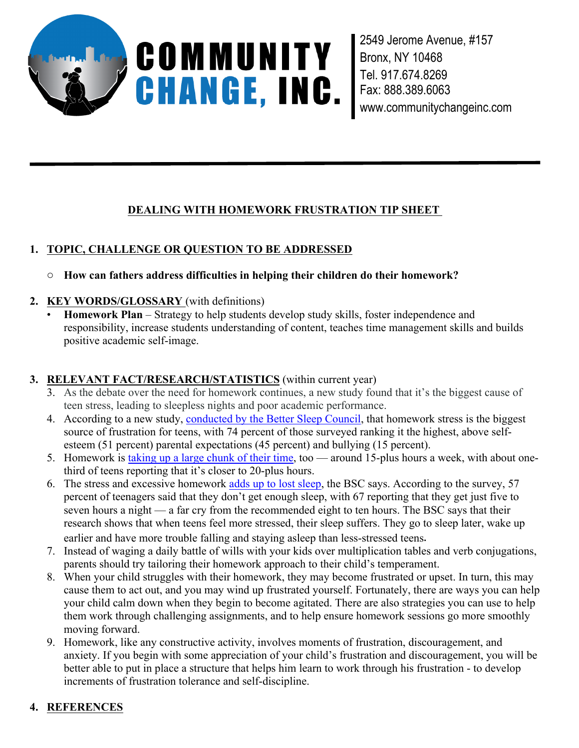

2549 Jerome Avenue, #157 Bronx, NY 10468 Tel. 917.674.8269 Fax: 888.389.6063 www.communitychangeinc.com

# **DEALING WITH HOMEWORK FRUSTRATION TIP SHEET**

# **1. TOPIC, CHALLENGE OR QUESTION TO BE ADDRESSED**

- o **How can fathers address difficulties in helping their children do their homework?**
- **2. KEY WORDS/GLOSSARY** (with definitions)
	- **Homework Plan** Strategy to help students develop study skills, foster independence and responsibility, increase students understanding of content, teaches time management skills and builds positive academic self-image.

## **3. RELEVANT FACT/RESEARCH/STATISTICS** (within current year)

- 3. As the debate over the need for homework continues, a new study found that it's the biggest cause of teen stress, leading to sleepless nights and poor academic performance.
- 4. According to a new study, conducted by the Better Sleep Council, that homework stress is the biggest source of frustration for teens, with 74 percent of those surveyed ranking it the highest, above selfesteem (51 percent) parental expectations (45 percent) and bullying (15 percent).
- 5. Homework is taking up a large chunk of their time, too around 15-plus hours a week, with about onethird of teens reporting that it's closer to 20-plus hours.
- 6. The stress and excessive homework adds up to lost sleep, the BSC says. According to the survey, 57 percent of teenagers said that they don't get enough sleep, with 67 reporting that they get just five to seven hours a night — a far cry from the recommended eight to ten hours. The BSC says that their research shows that when teens feel more stressed, their sleep suffers. They go to sleep later, wake up earlier and have more trouble falling and staying asleep than less-stressed teens.
- 7. Instead of waging a daily battle of wills with your kids over multiplication tables and verb conjugations, parents should try tailoring their homework approach to their child's temperament.
- 8. When your child struggles with their homework, they may become frustrated or upset. In turn, this may cause them to act out, and you may wind up frustrated yourself. Fortunately, there are ways you can help your child calm down when they begin to become agitated. There are also strategies you can use to help them work through challenging assignments, and to help ensure homework sessions go more smoothly moving forward.
- 9. Homework, like any constructive activity, involves moments of frustration, discouragement, and anxiety. If you begin with some appreciation of your child's frustration and discouragement, you will be better able to put in place a structure that helps him learn to work through his frustration - to develop increments of frustration tolerance and self-discipline.

# **4. REFERENCES**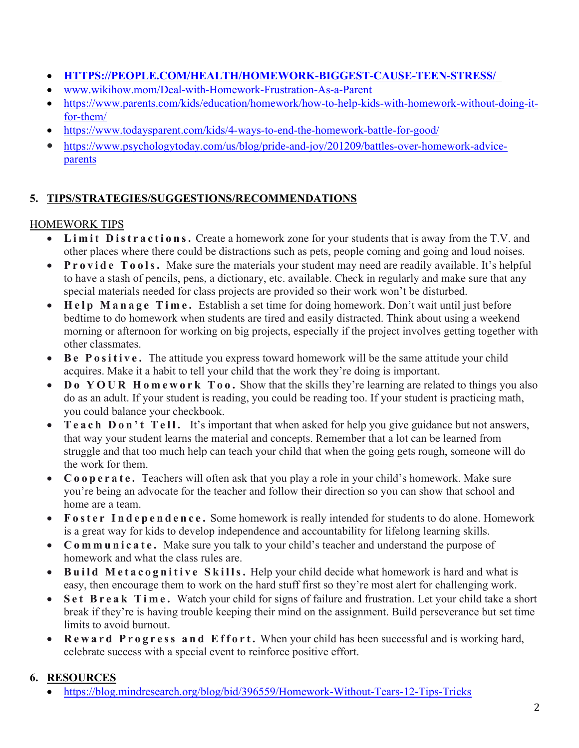- **HTTPS://PEOPLE.COM/HEALTH/HOMEWORK-BIGGEST-CAUSE-TEEN-STRESS/**
- www.wikihow.mom/Deal-with-Homework-Frustration-As-a-Parent
- https://www.parents.com/kids/education/homework/how-to-help-kids-with-homework-without-doing-itfor-them/
- https://www.todaysparent.com/kids/4-ways-to-end-the-homework-battle-for-good/
- https://www.psychologytoday.com/us/blog/pride-and-joy/201209/battles-over-homework-adviceparents

## **5. TIPS/STRATEGIES/SUGGESTIONS/RECOMMENDATIONS**

## HOMEWORK TIPS

- **L i m i t D ist r a c t i o n s.** Create a homework zone for your students that is away from the T.V. and other places where there could be distractions such as pets, people coming and going and loud noises.
- **P r o v i d e T o o ls.** Make sure the materials your student may need are readily available. It's helpful to have a stash of pencils, pens, a dictionary, etc. available. Check in regularly and make sure that any special materials needed for class projects are provided so their work won't be disturbed.
- **H e l p M a n a g e T i m e .** Establish a set time for doing homework. Don't wait until just before bedtime to do homework when students are tired and easily distracted. Think about using a weekend morning or afternoon for working on big projects, especially if the project involves getting together with other classmates.
- **• B e P o** sitive. The attitude you express toward homework will be the same attitude your child acquires. Make it a habit to tell your child that the work they're doing is important.
- Do YOUR Homework Too. Show that the skills they're learning are related to things you also do as an adult. If your student is reading, you could be reading too. If your student is practicing math, you could balance your checkbook.
- **T e a c h D o n ' t T e l l .** It's important that when asked for help you give guidance but not answers, that way your student learns the material and concepts. Remember that a lot can be learned from struggle and that too much help can teach your child that when the going gets rough, someone will do the work for them.
- **C o o p e r a te .** Teachers will often ask that you play a role in your child's homework. Make sure you're being an advocate for the teacher and follow their direction so you can show that school and home are a team.
- Foster Independence. Some homework is really intended for students to do alone. Homework is a great way for kids to develop independence and accountability for lifelong learning skills.
- **C o m m u n i c a t e.** Make sure you talk to your child's teacher and understand the purpose of homework and what the class rules are.
- Build Metacognitive Skills. Help your child decide what homework is hard and what is easy, then encourage them to work on the hard stuff first so they're most alert for challenging work.
- **S e t B r e a k T i m e .** Watch your child for signs of failure and frustration. Let your child take a short break if they're is having trouble keeping their mind on the assignment. Build perseverance but set time limits to avoid burnout.
- Reward Progress and Effort. When your child has been successful and is working hard, celebrate success with a special event to reinforce positive effort.

## **6. RESOURCES**

https://blog.mindresearch.org/blog/bid/396559/Homework-Without-Tears-12-Tips-Tricks